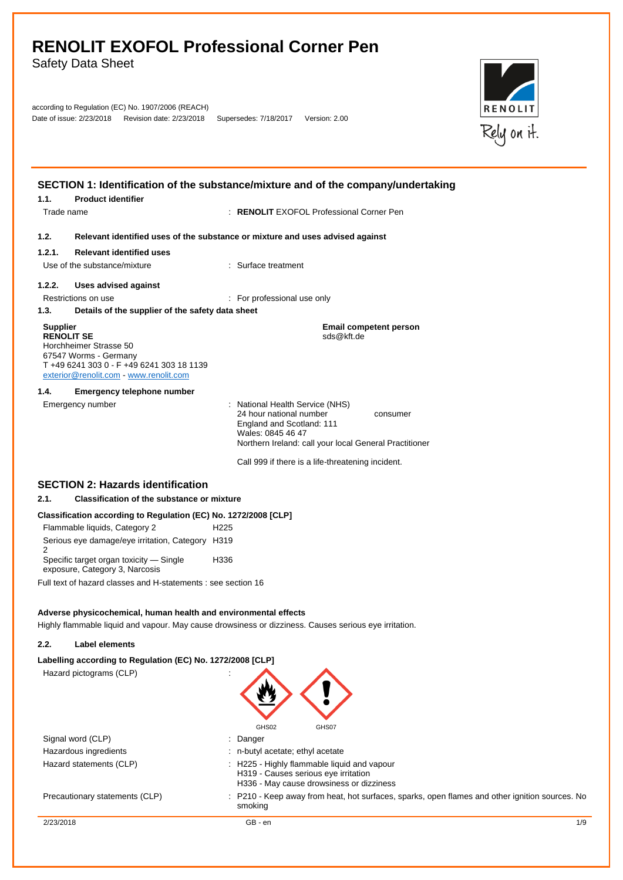Safety Data Sheet

|                          | according to Regulation (EC) No. 1907/2006 (REACH) |                       |               |
|--------------------------|----------------------------------------------------|-----------------------|---------------|
| Date of issue: 2/23/2018 | Revision date: 2/23/2018                           | Supersedes: 7/18/2017 | Version: 2.00 |



|                                                                                                                                                                              | SECTION 1: Identification of the substance/mixture and of the company/undertaking                                                                                                  |
|------------------------------------------------------------------------------------------------------------------------------------------------------------------------------|------------------------------------------------------------------------------------------------------------------------------------------------------------------------------------|
| <b>Product identifier</b><br>1.1.                                                                                                                                            |                                                                                                                                                                                    |
| Trade name                                                                                                                                                                   | : RENOLIT EXOFOL Professional Corner Pen                                                                                                                                           |
| 1.2.                                                                                                                                                                         | Relevant identified uses of the substance or mixture and uses advised against                                                                                                      |
| 1.2.1.<br><b>Relevant identified uses</b>                                                                                                                                    |                                                                                                                                                                                    |
| Use of the substance/mixture                                                                                                                                                 | : Surface treatment                                                                                                                                                                |
| 1.2.2.<br><b>Uses advised against</b>                                                                                                                                        |                                                                                                                                                                                    |
| Restrictions on use                                                                                                                                                          | : For professional use only                                                                                                                                                        |
| 1.3.<br>Details of the supplier of the safety data sheet                                                                                                                     |                                                                                                                                                                                    |
| <b>Supplier</b><br><b>RENOLIT SE</b><br>Horchheimer Strasse 50<br>67547 Worms - Germany<br>T+49 6241 303 0 - F+49 6241 303 18 1139<br>exterior@renolit.com - www.renolit.com | <b>Email competent person</b><br>sds@kft.de                                                                                                                                        |
| 1.4.<br><b>Emergency telephone number</b>                                                                                                                                    |                                                                                                                                                                                    |
| Emergency number                                                                                                                                                             | : National Health Service (NHS)<br>24 hour national number<br>consumer<br>England and Scotland: 111<br>Wales: 0845 46 47<br>Northern Ireland: call your local General Practitioner |
|                                                                                                                                                                              | Call 999 if there is a life-threatening incident.                                                                                                                                  |
| <b>SECTION 2: Hazards identification</b>                                                                                                                                     |                                                                                                                                                                                    |
| <b>Classification of the substance or mixture</b><br>2.1.                                                                                                                    |                                                                                                                                                                                    |
| Classification according to Regulation (EC) No. 1272/2008 [CLP]                                                                                                              |                                                                                                                                                                                    |
| Flammable liquids, Category 2                                                                                                                                                | H <sub>225</sub>                                                                                                                                                                   |
| Serious eye damage/eye irritation, Category H319                                                                                                                             |                                                                                                                                                                                    |
| 2<br>Specific target organ toxicity - Single<br>exposure, Category 3, Narcosis                                                                                               | H336                                                                                                                                                                               |
| Full text of hazard classes and H-statements : see section 16                                                                                                                |                                                                                                                                                                                    |
| Adverse physicochemical, human health and environmental effects                                                                                                              | Highly flammable liquid and vapour. May cause drowsiness or dizziness. Causes serious eye irritation.                                                                              |
| 2.2.<br><b>Label elements</b>                                                                                                                                                |                                                                                                                                                                                    |
| Labelling according to Regulation (EC) No. 1272/2008 [CLP]                                                                                                                   |                                                                                                                                                                                    |
| Hazard pictograms (CLP)                                                                                                                                                      | GHS02<br>GHS07                                                                                                                                                                     |
| Signal word (CLP)                                                                                                                                                            | : Danger                                                                                                                                                                           |
| Hazardous ingredients                                                                                                                                                        | : n-butyl acetate; ethyl acetate                                                                                                                                                   |
| Hazard statements (CLP)                                                                                                                                                      | : H225 - Highly flammable liquid and vapour<br>H319 - Causes serious eye irritation                                                                                                |
| Precautionary statements (CLP)                                                                                                                                               | H336 - May cause drowsiness or dizziness<br>: P210 - Keep away from heat, hot surfaces, sparks, open flames and other ignition sources. No<br>smoking                              |
| 2/23/2018                                                                                                                                                                    | GB - en<br>1/9                                                                                                                                                                     |
|                                                                                                                                                                              |                                                                                                                                                                                    |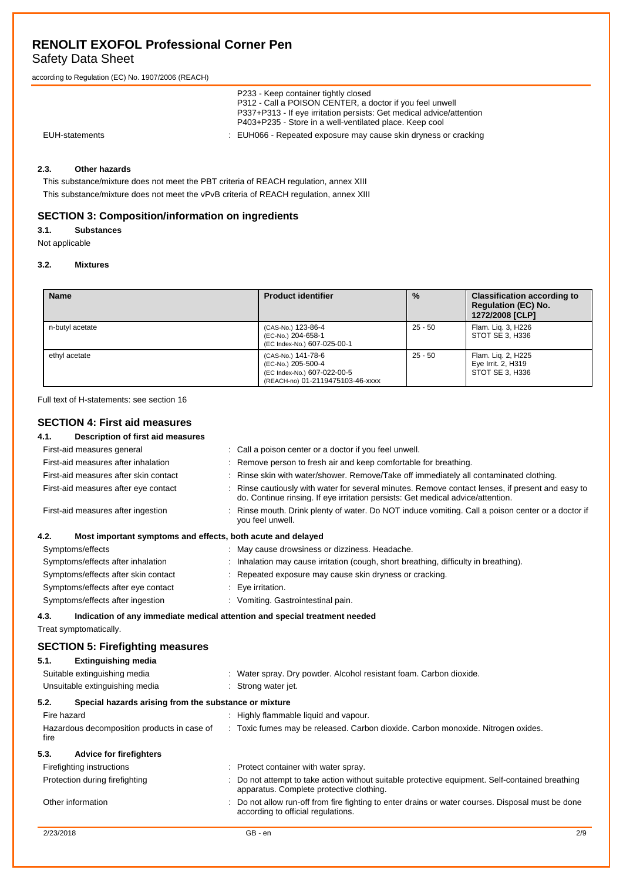## Safety Data Sheet

according to Regulation (EC) No. 1907/2006 (REACH)

|                | P233 - Keep container tightly closed<br>P312 - Call a POISON CENTER, a doctor if you feel unwell<br>P337+P313 - If eye irritation persists: Get medical advice/attention<br>P403+P235 - Store in a well-ventilated place. Keep cool |
|----------------|-------------------------------------------------------------------------------------------------------------------------------------------------------------------------------------------------------------------------------------|
| EUH-statements | : EUH066 - Repeated exposure may cause skin dryness or cracking                                                                                                                                                                     |

## **2.3. Other hazards**

This substance/mixture does not meet the PBT criteria of REACH regulation, annex XIII This substance/mixture does not meet the vPvB criteria of REACH regulation, annex XIII

## **SECTION 3: Composition/information on ingredients**

## **3.1. Substances**

Not applicable

#### **3.2. Mixtures**

| <b>Name</b>     | <b>Product identifier</b>                                                                                   | $\frac{9}{6}$ | <b>Classification according to</b><br><b>Regulation (EC) No.</b><br>1272/2008 [CLP] |
|-----------------|-------------------------------------------------------------------------------------------------------------|---------------|-------------------------------------------------------------------------------------|
| n-butyl acetate | (CAS-No.) 123-86-4<br>(EC-No.) 204-658-1<br>(EC Index-No.) 607-025-00-1                                     | 25 - 50       | Flam. Lig. 3, H226<br>STOT SE 3. H336                                               |
| ethyl acetate   | (CAS-No.) 141-78-6<br>(EC-No.) 205-500-4<br>(EC Index-No.) 607-022-00-5<br>(REACH-no) 01-2119475103-46-xxxx | $25 - 50$     | Flam. Lig. 2, H225<br>Eye Irrit. 2, H319<br>STOT SE 3. H336                         |

Full text of H-statements: see section 16

## **SECTION 4: First aid measures**

| 4.1.        | Description of first aid measures                                          |                                                                                                                                                                                   |
|-------------|----------------------------------------------------------------------------|-----------------------------------------------------------------------------------------------------------------------------------------------------------------------------------|
|             | First-aid measures general                                                 | Call a poison center or a doctor if you feel unwell.                                                                                                                              |
|             | First-aid measures after inhalation                                        | Remove person to fresh air and keep comfortable for breathing.                                                                                                                    |
|             | First-aid measures after skin contact                                      | Rinse skin with water/shower. Remove/Take off immediately all contaminated clothing.                                                                                              |
|             | First-aid measures after eye contact                                       | Rinse cautiously with water for several minutes. Remove contact lenses, if present and easy to<br>do. Continue rinsing. If eye irritation persists: Get medical advice/attention. |
|             | First-aid measures after ingestion                                         | Rinse mouth. Drink plenty of water. Do NOT induce vomiting. Call a poison center or a doctor if<br>you feel unwell.                                                               |
| 4.2.        | Most important symptoms and effects, both acute and delayed                |                                                                                                                                                                                   |
|             | Symptoms/effects                                                           | : May cause drowsiness or dizziness. Headache.                                                                                                                                    |
|             | Symptoms/effects after inhalation                                          | Inhalation may cause irritation (cough, short breathing, difficulty in breathing).                                                                                                |
|             | Symptoms/effects after skin contact                                        | Repeated exposure may cause skin dryness or cracking.                                                                                                                             |
|             | Symptoms/effects after eye contact                                         | Eye irritation.                                                                                                                                                                   |
|             | Symptoms/effects after ingestion                                           | : Vomiting. Gastrointestinal pain.                                                                                                                                                |
| 4.3.        | Indication of any immediate medical attention and special treatment needed |                                                                                                                                                                                   |
|             | Treat symptomatically.                                                     |                                                                                                                                                                                   |
|             | <b>SECTION 5: Firefighting measures</b>                                    |                                                                                                                                                                                   |
| 5.1.        | <b>Extinguishing media</b>                                                 |                                                                                                                                                                                   |
|             | Suitable extinguishing media                                               | : Water spray. Dry powder. Alcohol resistant foam. Carbon dioxide.                                                                                                                |
|             | Unsuitable extinguishing media                                             | : Strong water jet.                                                                                                                                                               |
|             |                                                                            |                                                                                                                                                                                   |
| 5.2.        | Special hazards arising from the substance or mixture                      |                                                                                                                                                                                   |
| Fire hazard |                                                                            | : Highly flammable liquid and vapour.                                                                                                                                             |
| fire        | Hazardous decomposition products in case of                                | : Toxic fumes may be released. Carbon dioxide. Carbon monoxide. Nitrogen oxides.                                                                                                  |
| 5.3.        | <b>Advice for firefighters</b>                                             |                                                                                                                                                                                   |
|             | Firefighting instructions                                                  | : Protect container with water spray.                                                                                                                                             |
|             | Protection during firefighting                                             | Do not attempt to take action without suitable protective equipment. Self-contained breathing<br>apparatus. Complete protective clothing.                                         |
|             | Other information                                                          | Do not allow run-off from fire fighting to enter drains or water courses. Disposal must be done                                                                                   |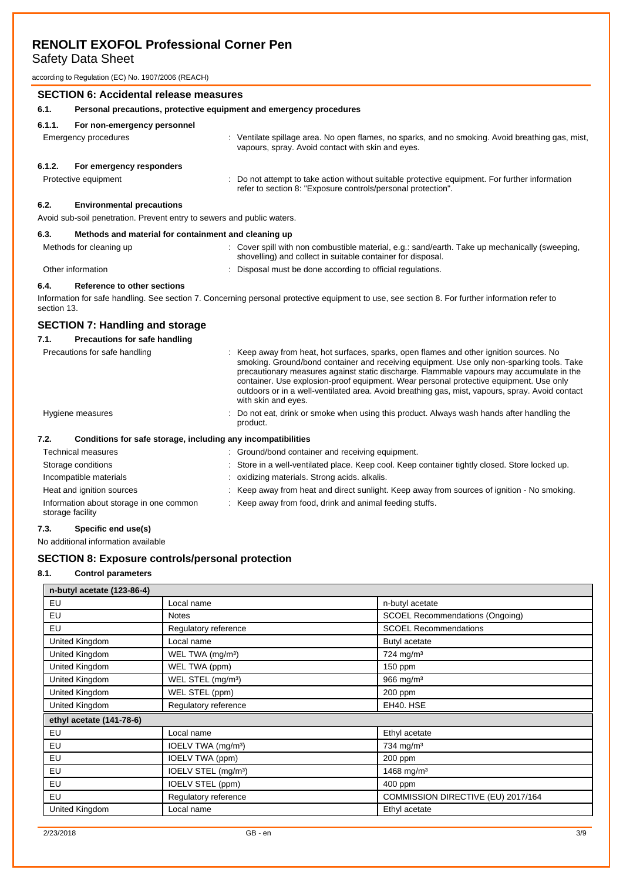Safety Data Sheet

according to Regulation (EC) No. 1907/2006 (REACH)

## **SECTION 6: Accidental release measures 6.1. Personal precautions, protective equipment and emergency procedures 6.1.1. For non-emergency personnel** Emergency procedures **interprocedures** : Ventilate spillage area. No open flames, no sparks, and no smoking. Avoid breathing gas, mist, vapours, spray. Avoid contact with skin and eyes. **6.1.2. For emergency responders** Protective equipment : Do not attempt to take action without suitable protective equipment. For further information refer to section 8: "Exposure controls/personal protection". **6.2. Environmental precautions**

Avoid sub-soil penetration. Prevent entry to sewers and public waters.

#### **6.3. Methods and material for containment and cleaning up**

| Methods for cleaning up | Cover spill with non combustible material, e.g.: sand/earth. Take up mechanically (sweeping,<br>shovelling) and collect in suitable container for disposal. |
|-------------------------|-------------------------------------------------------------------------------------------------------------------------------------------------------------|
| Other information       | Disposal must be done according to official regulations.                                                                                                    |

#### **6.4. Reference to other sections**

Information for safe handling. See section 7. Concerning personal protective equipment to use, see section 8. For further information refer to section 13.

## **SECTION 7: Handling and storage**

| 7.1.<br>Precautions for safe handling |                                                                                                                                                                                                                                                                                                                                                                                                                                                                                                      |
|---------------------------------------|------------------------------------------------------------------------------------------------------------------------------------------------------------------------------------------------------------------------------------------------------------------------------------------------------------------------------------------------------------------------------------------------------------------------------------------------------------------------------------------------------|
| Precautions for safe handling         | : Keep away from heat, hot surfaces, sparks, open flames and other ignition sources. No<br>smoking. Ground/bond container and receiving equipment. Use only non-sparking tools. Take<br>precautionary measures against static discharge. Flammable vapours may accumulate in the<br>container. Use explosion-proof equipment. Wear personal protective equipment. Use only<br>outdoors or in a well-ventilated area. Avoid breathing gas, mist, vapours, spray. Avoid contact<br>with skin and eyes. |
| Hygiene measures                      | : Do not eat, drink or smoke when using this product. Always wash hands after handling the<br>product.                                                                                                                                                                                                                                                                                                                                                                                               |
| 7.2.                                  | Conditions for safe storage, including any incompatibilities                                                                                                                                                                                                                                                                                                                                                                                                                                         |
| Technical measures                    | : Ground/bond container and receiving equipment.                                                                                                                                                                                                                                                                                                                                                                                                                                                     |
| Storage conditions                    | : Store in a well-ventilated place. Keep cool. Keep container tightly closed. Store locked up.                                                                                                                                                                                                                                                                                                                                                                                                       |
| Incompatible materials                | : oxidizing materials. Strong acids. alkalis.                                                                                                                                                                                                                                                                                                                                                                                                                                                        |
| Heat and ignition sources             | : Keep away from heat and direct sunlight. Keep away from sources of ignition - No smoking.                                                                                                                                                                                                                                                                                                                                                                                                          |

: Keep away from food, drink and animal feeding stuffs.

#### storage facility

**7.3. Specific end use(s)**

No additional information available

Information about storage in one common

### **SECTION 8: Exposure controls/personal protection**

#### **8.1. Control parameters**

| n-butyl acetate (123-86-4) |                                 |                                        |
|----------------------------|---------------------------------|----------------------------------------|
| EU                         | Local name                      | n-butyl acetate                        |
| EU                         | <b>Notes</b>                    | <b>SCOEL Recommendations (Ongoing)</b> |
| EU                         | Regulatory reference            | <b>SCOEL Recommendations</b>           |
| United Kingdom             | Local name                      | Butyl acetate                          |
| United Kingdom             | WEL TWA (mg/m <sup>3</sup> )    | $724$ mg/m <sup>3</sup>                |
| United Kingdom             | WEL TWA (ppm)                   | 150 ppm                                |
| United Kingdom             | WEL STEL (mg/m <sup>3</sup> )   | 966 mg/m <sup>3</sup>                  |
| United Kingdom             | WEL STEL (ppm)                  | 200 ppm                                |
| United Kingdom             | Regulatory reference            | EH40. HSE                              |
| ethyl acetate (141-78-6)   |                                 |                                        |
| EU                         | Local name                      | Ethyl acetate                          |
| EU                         | IOELV TWA (mg/m <sup>3</sup> )  | 734 mg/m <sup>3</sup>                  |
| EU                         | IOELV TWA (ppm)                 | 200 ppm                                |
| EU                         | IOELV STEL (mg/m <sup>3</sup> ) | 1468 mg/m <sup>3</sup>                 |
| EU                         | IOELV STEL (ppm)                | 400 ppm                                |
| EU                         | Regulatory reference            | COMMISSION DIRECTIVE (EU) 2017/164     |
| United Kingdom             | Local name                      | Ethyl acetate                          |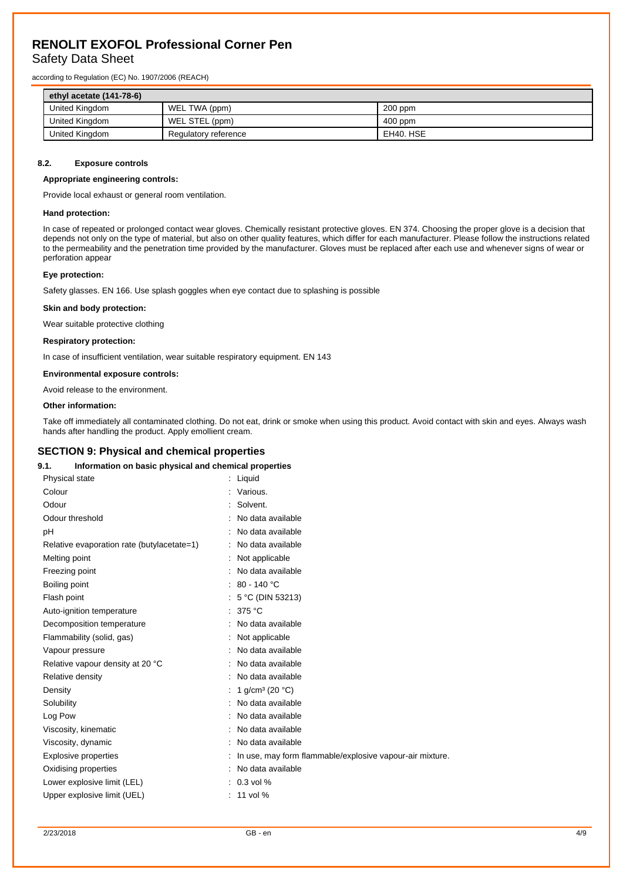## Safety Data Sheet

according to Regulation (EC) No. 1907/2006 (REACH)

| ethyl acetate $(141-78-6)$ |                      |           |
|----------------------------|----------------------|-----------|
| United Kingdom             | WEL TWA (ppm)        | $200$ ppm |
| United Kingdom             | WEL STEL (ppm)       | $400$ ppm |
| United Kingdom             | Regulatory reference | EH40. HSE |

#### **8.2. Exposure controls**

#### **Appropriate engineering controls:**

Provide local exhaust or general room ventilation.

#### **Hand protection:**

In case of repeated or prolonged contact wear gloves. Chemically resistant protective gloves. EN 374. Choosing the proper glove is a decision that depends not only on the type of material, but also on other quality features, which differ for each manufacturer. Please follow the instructions related to the permeability and the penetration time provided by the manufacturer. Gloves must be replaced after each use and whenever signs of wear or perforation appear

#### **Eye protection:**

Safety glasses. EN 166. Use splash goggles when eye contact due to splashing is possible

#### **Skin and body protection:**

Wear suitable protective clothing

#### **Respiratory protection:**

In case of insufficient ventilation, wear suitable respiratory equipment. EN 143

#### **Environmental exposure controls:**

Avoid release to the environment.

#### **Other information:**

Take off immediately all contaminated clothing. Do not eat, drink or smoke when using this product. Avoid contact with skin and eyes. Always wash hands after handling the product. Apply emollient cream.

#### **SECTION 9: Physical and chemical properties**

#### **9.1. Information on basic physical and chemical properties**

| <b>Physical state</b>                      | : Liquid                                                 |
|--------------------------------------------|----------------------------------------------------------|
| Colour                                     | Various.                                                 |
| Odour                                      | Solvent.                                                 |
| Odour threshold                            | No data available                                        |
| рH                                         | No data available                                        |
| Relative evaporation rate (butylacetate=1) | : No data available                                      |
| Melting point                              | Not applicable                                           |
| Freezing point                             | No data available                                        |
| Boiling point                              | : 80 - 140 °C                                            |
| Flash point                                | 5 °C (DIN 53213)                                         |
| Auto-ignition temperature                  | 375 °C                                                   |
| Decomposition temperature                  | No data available                                        |
| Flammability (solid, gas)                  | : Not applicable                                         |
| Vapour pressure                            | No data available                                        |
| Relative vapour density at 20 °C           | : No data available                                      |
| Relative density                           | No data available                                        |
| Density                                    | 1 $q/cm^3$ (20 °C)                                       |
| Solubility                                 | No data available                                        |
| Log Pow                                    | No data available                                        |
| Viscosity, kinematic                       | No data available                                        |
| Viscosity, dynamic                         | No data available                                        |
| <b>Explosive properties</b>                | In use, may form flammable/explosive vapour-air mixture. |
| Oxidising properties                       | No data available                                        |
| Lower explosive limit (LEL)                | $: 0.3$ vol %                                            |
| Upper explosive limit (UEL)                | $: 11$ vol %                                             |
|                                            |                                                          |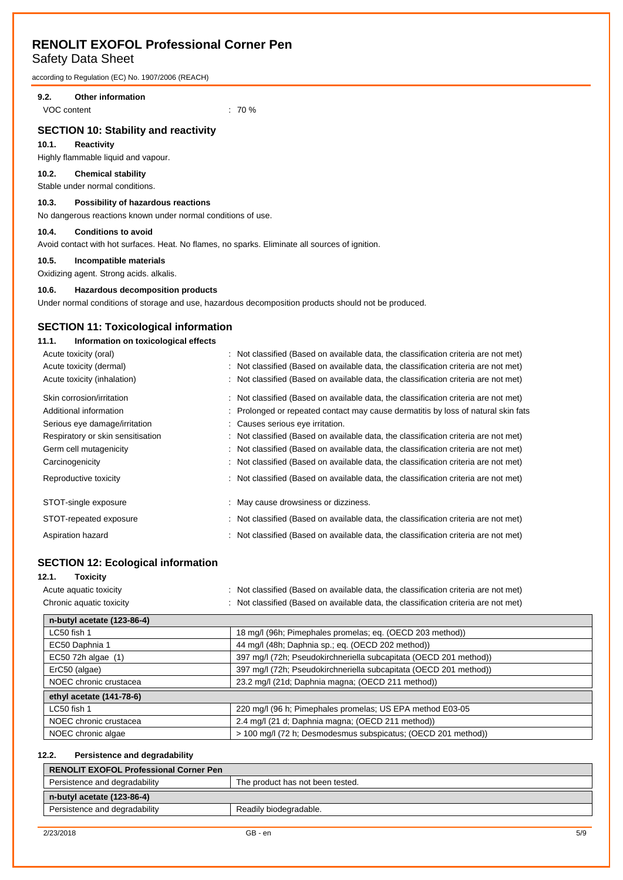## Safety Data Sheet

according to Regulation (EC) No. 1907/2006 (REACH)

### **9.2. Other information**

VOC content  $\sim$  70 %

## **SECTION 10: Stability and reactivity**

#### **10.1. Reactivity**

Highly flammable liquid and vapour.

### **10.2. Chemical stability**

Stable under normal conditions.

## **10.3. Possibility of hazardous reactions**

No dangerous reactions known under normal conditions of use.

#### **10.4. Conditions to avoid**

Avoid contact with hot surfaces. Heat. No flames, no sparks. Eliminate all sources of ignition.

#### **10.5. Incompatible materials**

Oxidizing agent. Strong acids. alkalis.

## **10.6. Hazardous decomposition products**

Under normal conditions of storage and use, hazardous decomposition products should not be produced.

### **SECTION 11: Toxicological information**

#### **11.1. Information on toxicological effects**

| Acute toxicity (oral)<br>Acute toxicity (dermal)<br>Acute toxicity (inhalation)                                                                                        | : Not classified (Based on available data, the classification criteria are not met)<br>: Not classified (Based on available data, the classification criteria are not met)<br>: Not classified (Based on available data, the classification criteria are not met)                                                                                                                                                                                                                 |
|------------------------------------------------------------------------------------------------------------------------------------------------------------------------|-----------------------------------------------------------------------------------------------------------------------------------------------------------------------------------------------------------------------------------------------------------------------------------------------------------------------------------------------------------------------------------------------------------------------------------------------------------------------------------|
| Skin corrosion/irritation<br>Additional information<br>Serious eye damage/irritation<br>Respiratory or skin sensitisation<br>Germ cell mutagenicity<br>Carcinogenicity | : Not classified (Based on available data, the classification criteria are not met)<br>: Prolonged or repeated contact may cause dermatitis by loss of natural skin fats<br>: Causes serious eye irritation.<br>: Not classified (Based on available data, the classification criteria are not met)<br>: Not classified (Based on available data, the classification criteria are not met)<br>: Not classified (Based on available data, the classification criteria are not met) |
| Reproductive toxicity                                                                                                                                                  | : Not classified (Based on available data, the classification criteria are not met)                                                                                                                                                                                                                                                                                                                                                                                               |
| STOT-single exposure                                                                                                                                                   | : May cause drowsiness or dizziness.                                                                                                                                                                                                                                                                                                                                                                                                                                              |
| STOT-repeated exposure                                                                                                                                                 | : Not classified (Based on available data, the classification criteria are not met)                                                                                                                                                                                                                                                                                                                                                                                               |
| Aspiration hazard                                                                                                                                                      | : Not classified (Based on available data, the classification criteria are not met)                                                                                                                                                                                                                                                                                                                                                                                               |

### **SECTION 12: Ecological information**

| 12.1.<br>Toxicitv        |                                                                                     |
|--------------------------|-------------------------------------------------------------------------------------|
| Acute aguatic toxicity   | : Not classified (Based on available data, the classification criteria are not met) |
| Chronic aquatic toxicity | : Not classified (Based on available data, the classification criteria are not met) |

| n-butyl acetate (123-86-4) |                                                                   |  |  |
|----------------------------|-------------------------------------------------------------------|--|--|
| LC50 fish 1                | 18 mg/l (96h; Pimephales promelas; eq. (OECD 203 method))         |  |  |
| EC50 Daphnia 1             | 44 mg/l (48h; Daphnia sp.; eq. (OECD 202 method))                 |  |  |
| EC50 72h algae (1)         | 397 mg/l (72h; Pseudokirchneriella subcapitata (OECD 201 method)) |  |  |
| ErC50 (algae)              | 397 mg/l (72h; Pseudokirchneriella subcapitata (OECD 201 method)) |  |  |
| NOEC chronic crustacea     | 23.2 mg/l (21d; Daphnia magna; (OECD 211 method))                 |  |  |
| ethyl acetate (141-78-6)   |                                                                   |  |  |
| LC50 fish 1                | 220 mg/l (96 h; Pimephales promelas; US EPA method E03-05         |  |  |
| NOEC chronic crustacea     | 2.4 mg/l (21 d; Daphnia magna; (OECD 211 method))                 |  |  |
| NOEC chronic algae         | > 100 mg/l (72 h; Desmodesmus subspicatus; (OECD 201 method))     |  |  |

#### **12.2. Persistence and degradability**

| <b>RENOLIT EXOFOL Professional Corner Pen</b>           |                                  |  |
|---------------------------------------------------------|----------------------------------|--|
| Persistence and degradability                           | The product has not been tested. |  |
| $n$ -butyl acetate (123-86-4)                           |                                  |  |
| Persistence and degradability<br>Readily biodegradable. |                                  |  |
|                                                         |                                  |  |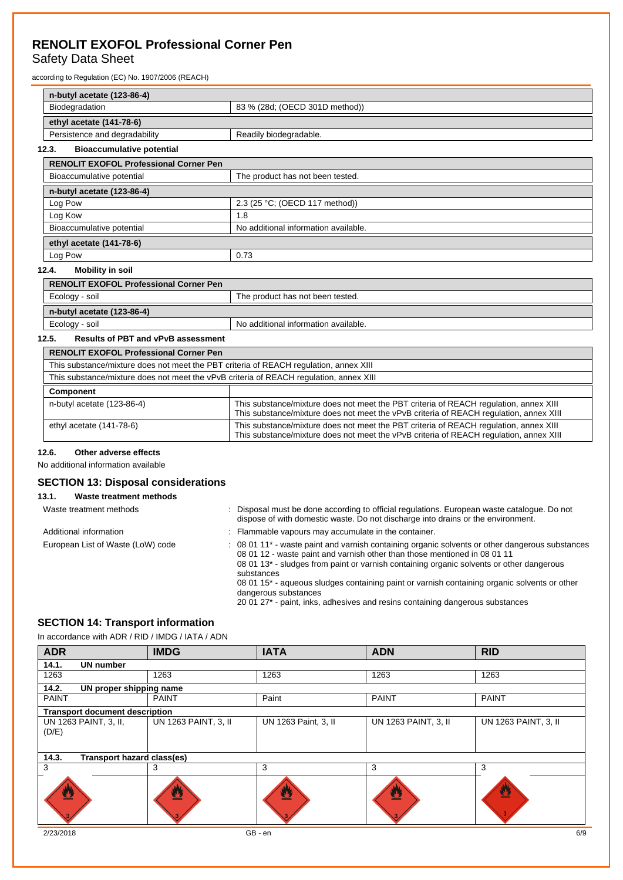## Safety Data Sheet

according to Regulation (EC) No. 1907/2006 (REACH)

| n-butyl acetate (123-86-4)                       |                                      |  |
|--------------------------------------------------|--------------------------------------|--|
| 83 % (28d; (OECD 301D method))<br>Biodegradation |                                      |  |
| ethyl acetate (141-78-6)                         |                                      |  |
| Persistence and degradability                    | Readily biodegradable.               |  |
| <b>Bioaccumulative potential</b><br>12.3.        |                                      |  |
| <b>RENOLIT EXOFOL Professional Corner Pen</b>    |                                      |  |
| Bioaccumulative potential                        | The product has not been tested.     |  |
| n-butyl acetate (123-86-4)                       |                                      |  |
| Log Pow                                          | 2.3 (25 °C; (OECD 117 method))       |  |
| Log Kow                                          | 1.8                                  |  |
| Bioaccumulative potential                        | No additional information available. |  |
| ethyl acetate (141-78-6)                         |                                      |  |
| Log Pow                                          | 0.73                                 |  |
| Mobility in soil<br>12 $\boldsymbol{\Lambda}$    |                                      |  |

#### **12.4. Mobility in soil**

| The product has not been tested.                       |  |  |
|--------------------------------------------------------|--|--|
|                                                        |  |  |
| No additional information available.<br>Ecology - soil |  |  |
|                                                        |  |  |

## **12.5. Results of PBT and vPvB assessment**

| <b>RENOLIT EXOFOL Professional Corner Pen</b>                                          |                                                                                                                                                                                 |  |  |
|----------------------------------------------------------------------------------------|---------------------------------------------------------------------------------------------------------------------------------------------------------------------------------|--|--|
| This substance/mixture does not meet the PBT criteria of REACH regulation, annex XIII  |                                                                                                                                                                                 |  |  |
| This substance/mixture does not meet the vPvB criteria of REACH regulation, annex XIII |                                                                                                                                                                                 |  |  |
| <b>Component</b>                                                                       |                                                                                                                                                                                 |  |  |
| n-butyl acetate (123-86-4)                                                             | This substance/mixture does not meet the PBT criteria of REACH regulation, annex XIII<br>This substance/mixture does not meet the vPvB criteria of REACH regulation, annex XIII |  |  |
| ethyl acetate (141-78-6)                                                               | This substance/mixture does not meet the PBT criteria of REACH regulation, annex XIII<br>This substance/mixture does not meet the vPvB criteria of REACH regulation, annex XIII |  |  |

#### **12.6. Other adverse effects**

No additional information available

## **SECTION 13: Disposal considerations**

## **13.1. Waste treatment methods**

| Waste treatment methods           | : Disposal must be done according to official regulations. European waste catalogue. Do not<br>dispose of with domestic waste. Do not discharge into drains or the environment.                                                                                                                                                                                                                    |  |
|-----------------------------------|----------------------------------------------------------------------------------------------------------------------------------------------------------------------------------------------------------------------------------------------------------------------------------------------------------------------------------------------------------------------------------------------------|--|
| Additional information            | : Flammable vapours may accumulate in the container.                                                                                                                                                                                                                                                                                                                                               |  |
| European List of Waste (LoW) code | : 08 01 11* - waste paint and varnish containing organic solvents or other dangerous substances<br>08 01 12 - waste paint and varnish other than those mentioned in 08 01 11<br>08 01 13 <sup>*</sup> - sludges from paint or varnish containing organic solvents or other dangerous<br>substances<br>08.01 15* - aqueous sludges containing paint or varnish containing organic solvents or other |  |

08 01 15\* - aqueous sludges containing paint or varnish containing organic solvents or other dangerous substances

#### 20 01 27\* - paint, inks, adhesives and resins containing dangerous substances

## **SECTION 14: Transport information**

In accordance with ADR / RID / IMDG / IATA / ADN

| <b>ADR</b>                            | <b>IMDG</b>                | <b>IATA</b>          | <b>ADN</b>           | <b>RID</b>           |
|---------------------------------------|----------------------------|----------------------|----------------------|----------------------|
| 14.1.<br><b>UN number</b>             |                            |                      |                      |                      |
| 1263                                  | 1263                       | 1263                 | 1263                 | 1263                 |
| 14.2.<br>UN proper shipping name      |                            |                      |                      |                      |
| <b>PAINT</b>                          | <b>PAINT</b>               | Paint                | <b>PAINT</b>         | <b>PAINT</b>         |
| <b>Transport document description</b> |                            |                      |                      |                      |
| UN 1263 PAINT, 3, II,<br>(D/E)        | UN 1263 PAINT, 3, II       | UN 1263 Paint, 3, II | UN 1263 PAINT, 3, II | UN 1263 PAINT, 3, II |
| 14.3.                                 | Transport hazard class(es) |                      |                      |                      |
| 3                                     | 3                          | 3                    | 3                    | 3                    |
| U                                     |                            | ፵                    | 亙                    | ₩<br>3               |
| 2/23/2018                             |                            | GB - en              |                      | 6/9                  |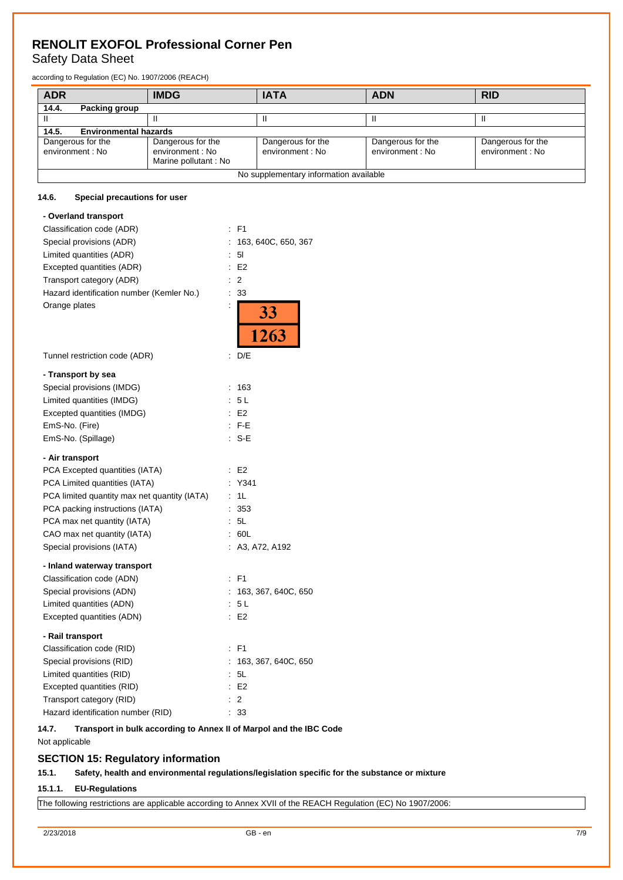## Safety Data Sheet

according to Regulation (EC) No. 1907/2006 (REACH)

| <b>ADR</b>                                                                                                                                                                                                                       | <b>IMDG</b> | <b>IATA</b> | <b>ADN</b> | <b>RID</b> |
|----------------------------------------------------------------------------------------------------------------------------------------------------------------------------------------------------------------------------------|-------------|-------------|------------|------------|
| 14.4.<br>Packing group                                                                                                                                                                                                           |             |             |            |            |
|                                                                                                                                                                                                                                  |             |             |            |            |
| <b>Environmental hazards</b><br>14.5.                                                                                                                                                                                            |             |             |            |            |
| Dangerous for the<br>Dangerous for the<br>Dangerous for the<br>Dangerous for the<br>Dangerous for the<br>environment : No<br>environment: No<br>environment : No<br>environment : No<br>environment : No<br>Marine pollutant: No |             |             |            |            |
| No supplementary information available                                                                                                                                                                                           |             |             |            |            |

#### **14.6. Special precautions for user**

| - Overland transport                                              |                     |
|-------------------------------------------------------------------|---------------------|
| Classification code (ADR)                                         | : F1                |
| Special provisions (ADR)<br>÷                                     | 163, 640C, 650, 367 |
| Limited quantities (ADR)<br>÷                                     | 51                  |
| Excepted quantities (ADR)<br>÷                                    | E <sub>2</sub>      |
| $\overline{\phantom{a}}$<br>Transport category (ADR)              | $\overline{2}$      |
| Hazard identification number (Kemler No.)<br>$\ddot{\phantom{a}}$ | 33                  |
| Orange plates<br>$\ddot{\cdot}$                                   | $\frac{33}{1263}$   |
| Tunnel restriction code (ADR)<br>÷.                               | D/E                 |
| - Transport by sea                                                |                     |
| Special provisions (IMDG)<br>÷                                    | 163                 |
| Limited quantities (IMDG)<br>÷                                    | 5L                  |
| Excepted quantities (IMDG)<br>÷                                   | E <sub>2</sub>      |
| EmS-No. (Fire)                                                    | $:$ F-E             |
| EmS-No. (Spillage)                                                | : S-E               |
| - Air transport                                                   |                     |
| PCA Excepted quantities (IATA)                                    | E <sub>2</sub>      |
| PCA Limited quantities (IATA)<br>÷                                | Y341                |
| PCA limited quantity max net quantity (IATA)<br>$\ddot{\cdot}$    | 1L                  |
| PCA packing instructions (IATA)<br>$\ddot{\cdot}$                 | 353                 |
| PCA max net quantity (IATA)<br>÷                                  | 5L                  |
| CAO max net quantity (IATA)<br>÷                                  | 60L                 |
| Special provisions (IATA)<br>÷                                    | A3, A72, A192       |
| - Inland waterway transport                                       |                     |
| Classification code (ADN)                                         | : F1                |
| Special provisions (ADN)                                          | 163, 367, 640C, 650 |
| Limited quantities (ADN)<br>÷                                     | 5L                  |
| ÷<br>Excepted quantities (ADN)                                    | E <sub>2</sub>      |
| - Rail transport                                                  |                     |
| Classification code (RID)                                         | $:$ F1              |
| Special provisions (RID)<br>÷                                     | 163, 367, 640C, 650 |
| Limited quantities (RID)<br>÷                                     | 5L                  |
| Excepted quantities (RID)                                         | E <sub>2</sub>      |
| Transport category (RID)                                          | $\overline{2}$      |
| Hazard identification number (RID)                                | 33                  |

### **14.7. Transport in bulk according to Annex II of Marpol and the IBC Code** Not applicable

## **SECTION 15: Regulatory information**

## **15.1. Safety, health and environmental regulations/legislation specific for the substance or mixture**

### **15.1.1. EU-Regulations**

The following restrictions are applicable according to Annex XVII of the REACH Regulation (EC) No 1907/2006: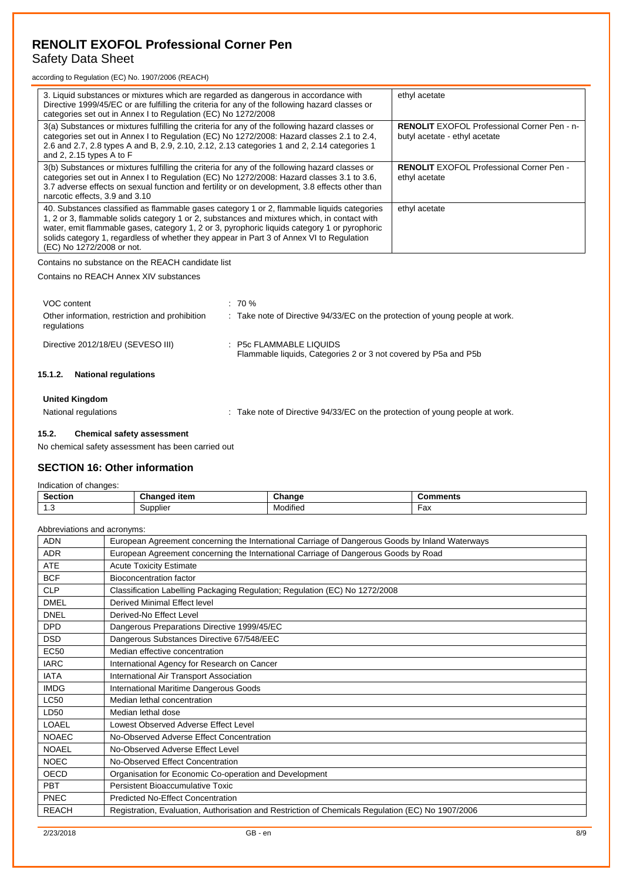## Safety Data Sheet

according to Regulation (EC) No. 1907/2006 (REACH)

| 3. Liquid substances or mixtures which are regarded as dangerous in accordance with<br>Directive 1999/45/EC or are fulfilling the criteria for any of the following hazard classes or<br>categories set out in Annex I to Regulation (EC) No 1272/2008                                                                                                                                                             | ethyl acetate                                                                       |
|--------------------------------------------------------------------------------------------------------------------------------------------------------------------------------------------------------------------------------------------------------------------------------------------------------------------------------------------------------------------------------------------------------------------|-------------------------------------------------------------------------------------|
| 3(a) Substances or mixtures fulfilling the criteria for any of the following hazard classes or<br>categories set out in Annex I to Regulation (EC) No 1272/2008: Hazard classes 2.1 to 2.4,<br>2.6 and 2.7, 2.8 types A and B, 2.9, 2.10, 2.12, 2.13 categories 1 and 2, 2.14 categories 1<br>and 2, 2.15 types A to $F$                                                                                           | <b>RENOLIT</b> EXOFOL Professional Corner Pen - n-<br>butyl acetate - ethyl acetate |
| 3(b) Substances or mixtures fulfilling the criteria for any of the following hazard classes or<br>categories set out in Annex I to Regulation (EC) No 1272/2008: Hazard classes 3.1 to 3.6,<br>3.7 adverse effects on sexual function and fertility or on development, 3.8 effects other than<br>narcotic effects, 3.9 and 3.10                                                                                    | <b>RENOLIT</b> EXOFOL Professional Corner Pen -<br>ethyl acetate                    |
| 40. Substances classified as flammable gases category 1 or 2, flammable liquids categories<br>1, 2 or 3, flammable solids category 1 or 2, substances and mixtures which, in contact with<br>water, emit flammable gases, category 1, 2 or 3, pyrophoric liquids category 1 or pyrophoric<br>solids category 1, regardless of whether they appear in Part 3 of Annex VI to Regulation<br>(EC) No 1272/2008 or not. | ethyl acetate                                                                       |

Contains no substance on the REACH candidate list

Contains no REACH Annex XIV substances

| VOC content                                                   | $: 70 \%$                                                                                  |
|---------------------------------------------------------------|--------------------------------------------------------------------------------------------|
| Other information, restriction and prohibition<br>regulations | : Take note of Directive 94/33/EC on the protection of young people at work.               |
| Directive 2012/18/EU (SEVESO III)                             | : P5c FLAMMABLE LIQUIDS<br>Flammable liquids, Categories 2 or 3 not covered by P5a and P5b |
| 15.1.2.<br><b>National requlations</b>                        |                                                                                            |
| <b>United Kingdom</b>                                         |                                                                                            |
| National regulations                                          | : Take note of Directive 94/33/EC on the protection of young people at work.               |

#### **15.2. Chemical safety assessment**

No chemical safety assessment has been carried out

## **SECTION 16: Other information**

Indication of changes:

| <b>Section</b><br>____ | $-1 - 1$<br>-----<br>iten.<br>cла<br>noec<br>- - | Change                        | ວmments   |
|------------------------|--------------------------------------------------|-------------------------------|-----------|
| ں.،                    | Supplier                                         | $\cdots$<br>Vlodified<br>ivit | ᄂᅐ<br>-ax |

| Abbreviations and acronyms: |                                                                                                   |  |  |  |
|-----------------------------|---------------------------------------------------------------------------------------------------|--|--|--|
| <b>ADN</b>                  | European Agreement concerning the International Carriage of Dangerous Goods by Inland Waterways   |  |  |  |
| <b>ADR</b>                  | European Agreement concerning the International Carriage of Dangerous Goods by Road               |  |  |  |
| <b>ATE</b>                  | <b>Acute Toxicity Estimate</b>                                                                    |  |  |  |
| <b>BCF</b>                  | <b>Bioconcentration factor</b>                                                                    |  |  |  |
| <b>CLP</b>                  | Classification Labelling Packaging Regulation; Regulation (EC) No 1272/2008                       |  |  |  |
| <b>DMEL</b>                 | Derived Minimal Effect level                                                                      |  |  |  |
| <b>DNEL</b>                 | Derived-No Effect Level                                                                           |  |  |  |
| <b>DPD</b>                  | Dangerous Preparations Directive 1999/45/EC                                                       |  |  |  |
| <b>DSD</b>                  | Dangerous Substances Directive 67/548/EEC                                                         |  |  |  |
| <b>EC50</b>                 | Median effective concentration                                                                    |  |  |  |
| <b>IARC</b>                 | International Agency for Research on Cancer                                                       |  |  |  |
| <b>IATA</b>                 | International Air Transport Association                                                           |  |  |  |
| <b>IMDG</b>                 | International Maritime Dangerous Goods                                                            |  |  |  |
| <b>LC50</b>                 | Median lethal concentration                                                                       |  |  |  |
| LD50                        | Median lethal dose                                                                                |  |  |  |
| LOAEL                       | Lowest Observed Adverse Effect Level                                                              |  |  |  |
| <b>NOAEC</b>                | No-Observed Adverse Effect Concentration                                                          |  |  |  |
| <b>NOAEL</b>                | No-Observed Adverse Effect Level                                                                  |  |  |  |
| <b>NOEC</b>                 | No-Observed Effect Concentration                                                                  |  |  |  |
| OECD                        | Organisation for Economic Co-operation and Development                                            |  |  |  |
| <b>PBT</b>                  | Persistent Bioaccumulative Toxic                                                                  |  |  |  |
| PNEC                        | <b>Predicted No-Effect Concentration</b>                                                          |  |  |  |
| <b>REACH</b>                | Registration, Evaluation, Authorisation and Restriction of Chemicals Regulation (EC) No 1907/2006 |  |  |  |